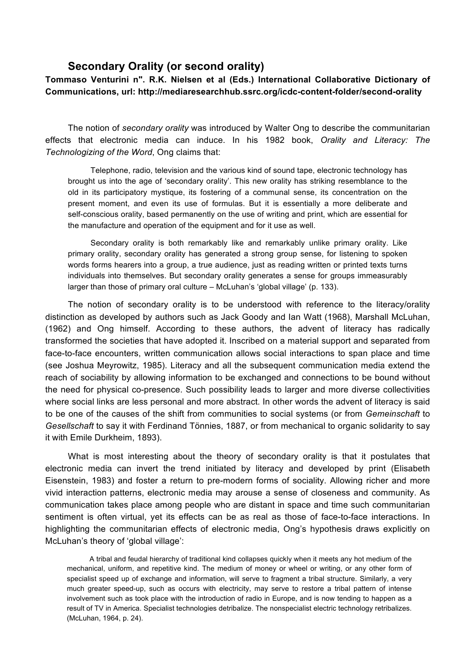## **Secondary Orality (or second orality)**

**Tommaso Venturini n". R.K. Nielsen et al (Eds.) International Collaborative Dictionary of Communications, url: http://mediaresearchhub.ssrc.org/icdc-content-folder/second-orality**

The notion of *secondary orality* was introduced by Walter Ong to describe the communitarian effects that electronic media can induce. In his 1982 book, *Orality and Literacy: The Technologizing of the Word*, Ong claims that:

Telephone, radio, television and the various kind of sound tape, electronic technology has brought us into the age of 'secondary orality'. This new orality has striking resemblance to the old in its participatory mystique, its fostering of a communal sense, its concentration on the present moment, and even its use of formulas. But it is essentially a more deliberate and self-conscious orality, based permanently on the use of writing and print, which are essential for the manufacture and operation of the equipment and for it use as well.

Secondary orality is both remarkably like and remarkably unlike primary orality. Like primary orality, secondary orality has generated a strong group sense, for listening to spoken words forms hearers into a group, a true audience, just as reading written or printed texts turns individuals into themselves. But secondary orality generates a sense for groups immeasurably larger than those of primary oral culture – McLuhan's 'global village' (p. 133).

The notion of secondary orality is to be understood with reference to the literacy/orality distinction as developed by authors such as Jack Goody and Ian Watt (1968), Marshall McLuhan, (1962) and Ong himself. According to these authors, the advent of literacy has radically transformed the societies that have adopted it. Inscribed on a material support and separated from face-to-face encounters, written communication allows social interactions to span place and time (see Joshua Meyrowitz, 1985). Literacy and all the subsequent communication media extend the reach of sociability by allowing information to be exchanged and connections to be bound without the need for physical co-presence. Such possibility leads to larger and more diverse collectivities where social links are less personal and more abstract. In other words the advent of literacy is said to be one of the causes of the shift from communities to social systems (or from *Gemeinschaft* to *Gesellschaft* to say it with Ferdinand Tönnies, 1887, or from mechanical to organic solidarity to say it with Emile Durkheim, 1893).

What is most interesting about the theory of secondary orality is that it postulates that electronic media can invert the trend initiated by literacy and developed by print (Elisabeth Eisenstein, 1983) and foster a return to pre-modern forms of sociality. Allowing richer and more vivid interaction patterns, electronic media may arouse a sense of closeness and community. As communication takes place among people who are distant in space and time such communitarian sentiment is often virtual, yet its effects can be as real as those of face-to-face interactions. In highlighting the communitarian effects of electronic media, Ong's hypothesis draws explicitly on McLuhan's theory of 'global village':

A tribal and feudal hierarchy of traditional kind collapses quickly when it meets any hot medium of the mechanical, uniform, and repetitive kind. The medium of money or wheel or writing, or any other form of specialist speed up of exchange and information, will serve to fragment a tribal structure. Similarly, a very much greater speed-up, such as occurs with electricity, may serve to restore a tribal pattern of intense involvement such as took place with the introduction of radio in Europe, and is now tending to happen as a result of TV in America. Specialist technologies detribalize. The nonspecialist electric technology retribalizes. (McLuhan, 1964, p. 24).